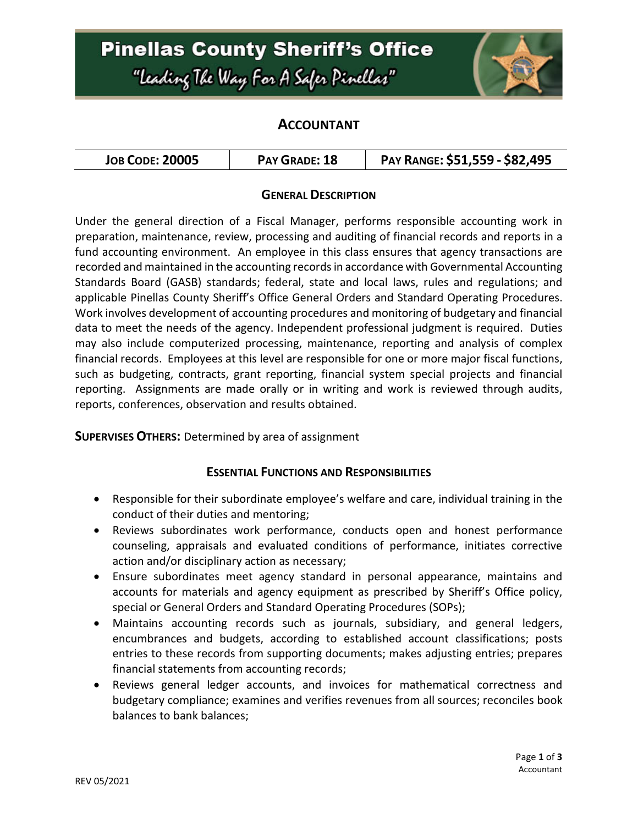# **Pinellas County Sheriff's Office** "Leading The Way For A Safer Pinellar"



## **ACCOUNTANT**

| <b>JOB CODE: 20005</b> | PAY GRADE: 18 | PAY RANGE: \$51,559 - \$82,495 |
|------------------------|---------------|--------------------------------|
|------------------------|---------------|--------------------------------|

### **GENERAL DESCRIPTION**

Under the general direction of a Fiscal Manager, performs responsible accounting work in preparation, maintenance, review, processing and auditing of financial records and reports in a fund accounting environment. An employee in this class ensures that agency transactions are recorded and maintained in the accounting records in accordance with Governmental Accounting Standards Board (GASB) standards; federal, state and local laws, rules and regulations; and applicable Pinellas County Sheriff's Office General Orders and Standard Operating Procedures. Work involves development of accounting procedures and monitoring of budgetary and financial data to meet the needs of the agency. Independent professional judgment is required. Duties may also include computerized processing, maintenance, reporting and analysis of complex financial records. Employees at this level are responsible for one or more major fiscal functions, such as budgeting, contracts, grant reporting, financial system special projects and financial reporting. Assignments are made orally or in writing and work is reviewed through audits, reports, conferences, observation and results obtained.

#### **SUPERVISES OTHERS:** Determined by area of assignment

### **ESSENTIAL FUNCTIONS AND RESPONSIBILITIES**

- Responsible for their subordinate employee's welfare and care, individual training in the conduct of their duties and mentoring;
- Reviews subordinates work performance, conducts open and honest performance counseling, appraisals and evaluated conditions of performance, initiates corrective action and/or disciplinary action as necessary;
- Ensure subordinates meet agency standard in personal appearance, maintains and accounts for materials and agency equipment as prescribed by Sheriff's Office policy, special or General Orders and Standard Operating Procedures (SOPs);
- Maintains accounting records such as journals, subsidiary, and general ledgers, encumbrances and budgets, according to established account classifications; posts entries to these records from supporting documents; makes adjusting entries; prepares financial statements from accounting records;
- Reviews general ledger accounts, and invoices for mathematical correctness and budgetary compliance; examines and verifies revenues from all sources; reconciles book balances to bank balances;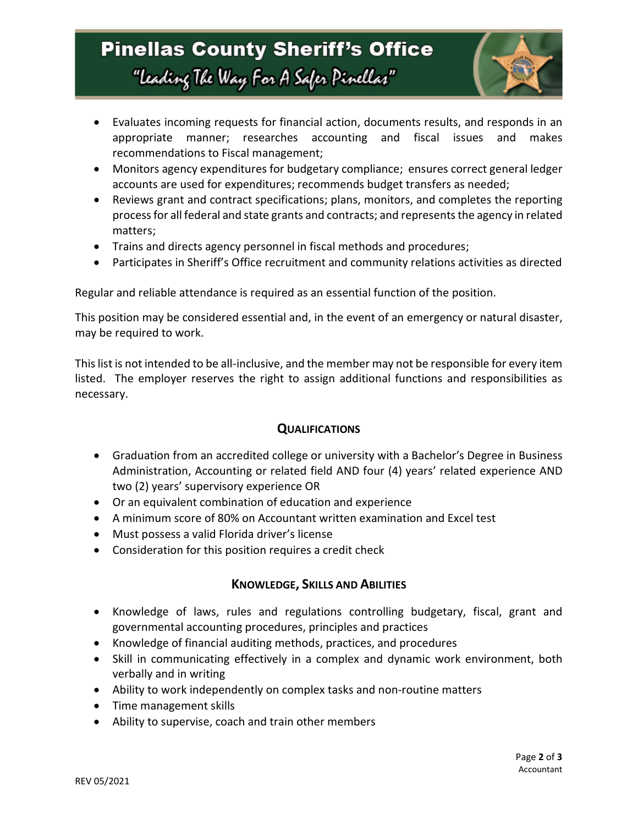## **Pinellas County Sheriff's Office** "Leading The Way For A Safer Pinellar"



- Evaluates incoming requests for financial action, documents results, and responds in an appropriate manner; researches accounting and fiscal issues and makes recommendations to Fiscal management;
- Monitors agency expenditures for budgetary compliance; ensures correct general ledger accounts are used for expenditures; recommends budget transfers as needed;
- Reviews grant and contract specifications; plans, monitors, and completes the reporting process for all federal and state grants and contracts; and represents the agency in related matters;
- Trains and directs agency personnel in fiscal methods and procedures;
- Participates in Sheriff's Office recruitment and community relations activities as directed

Regular and reliable attendance is required as an essential function of the position.

This position may be considered essential and, in the event of an emergency or natural disaster, may be required to work.

This list is not intended to be all-inclusive, and the member may not be responsible for every item listed. The employer reserves the right to assign additional functions and responsibilities as necessary.

### **QUALIFICATIONS**

- Graduation from an accredited college or university with a Bachelor's Degree in Business Administration, Accounting or related field AND four (4) years' related experience AND two (2) years' supervisory experience OR
- Or an equivalent combination of education and experience
- A minimum score of 80% on Accountant written examination and Excel test
- Must possess a valid Florida driver's license
- Consideration for this position requires a credit check

### **KNOWLEDGE, SKILLS AND ABILITIES**

- Knowledge of laws, rules and regulations controlling budgetary, fiscal, grant and governmental accounting procedures, principles and practices
- Knowledge of financial auditing methods, practices, and procedures
- Skill in communicating effectively in a complex and dynamic work environment, both verbally and in writing
- Ability to work independently on complex tasks and non-routine matters
- Time management skills
- Ability to supervise, coach and train other members